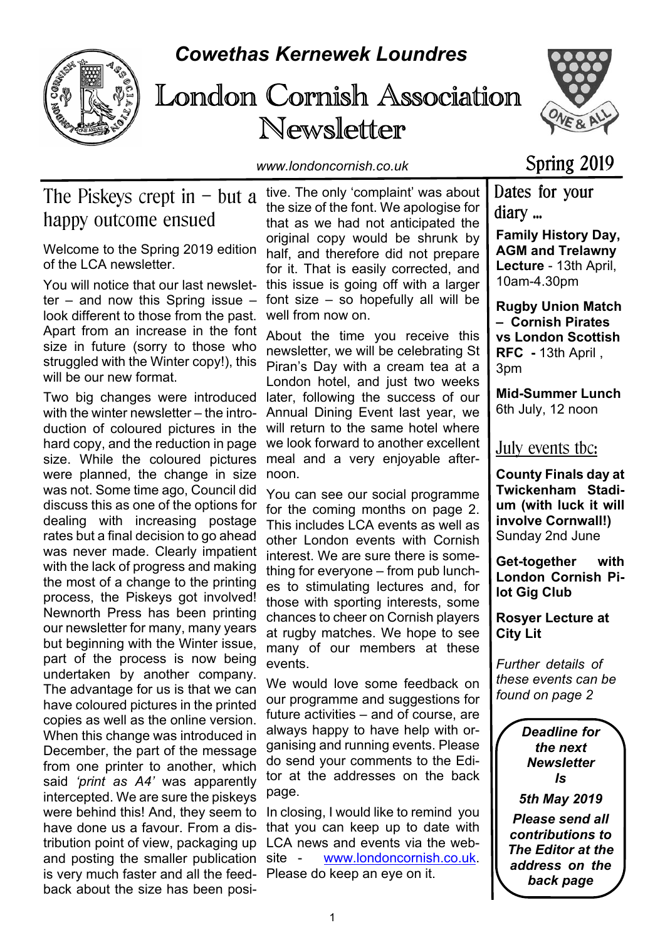

# *Cowethas Kernewek Loundres*

# London Cornish Association Newsletter



*www.londoncornish.co.uk*

# Spring 2019

# The Piskeys crept in  $-$  but a happy outcome ensued

Welcome to the Spring 2019 edition of the LCA newsletter.

You will notice that our last newsletter – and now this Spring issue – look different to those from the past. Apart from an increase in the font size in future (sorry to those who struggled with the Winter copy!), this will be our new format.

Two big changes were introduced with the winter newsletter – the introduction of coloured pictures in the hard copy, and the reduction in page size. While the coloured pictures were planned, the change in size was not. Some time ago, Council did discuss this as one of the options for dealing with increasing postage rates but a final decision to go ahead was never made. Clearly impatient with the lack of progress and making the most of a change to the printing process, the Piskeys got involved! Newnorth Press has been printing our newsletter for many, many years but beginning with the Winter issue, part of the process is now being undertaken by another company. The advantage for us is that we can have coloured pictures in the printed copies as well as the online version. When this change was introduced in December, the part of the message from one printer to another, which said *'print as A4'* was apparently intercepted. We are sure the piskeys were behind this! And, they seem to have done us a favour. From a distribution point of view, packaging up and posting the smaller publication site is very much faster and all the feed-Please do keep an eye on it.back about the size has been posi-

tive. The only 'complaint' was about the size of the font. We apologise for that as we had not anticipated the original copy would be shrunk by half, and therefore did not prepare for it. That is easily corrected, and this issue is going off with a larger font size – so hopefully all will be well from now on.

About the time you receive this newsletter, we will be celebrating St Piran's Day with a cream tea at a London hotel, and just two weeks later, following the success of our Annual Dining Event last year, we will return to the same hotel where we look forward to another excellent meal and a very enjoyable afternoon.

You can see our social programme for the coming months on page 2. This includes LCA events as well as other London events with Cornish interest. We are sure there is something for everyone – from pub lunches to stimulating lectures and, for those with sporting interests, some chances to cheer on Cornish players at rugby matches. We hope to see many of our members at these events.

We would love some feedback on our programme and suggestions for future activities – and of course, are always happy to have help with organising and running events. Please do send your comments to the Editor at the addresses on the back page.

In closing, I would like to remind you that you can keep up to date with LCA news and events via the webwww.londoncornish.co.uk.

diary ... **Family History Day, AGM and Trelawny Lecture** - 13th April, 10am-4.30pm

Dates for your

**Rugby Union Match – Cornish Pirates vs London Scottish RFC -** 13th April , 3pm

**Mid-Summer Lunch** 6th July, 12 noon

July events tbc:

**County Finals day at Twickenham Stadium (with luck it will involve Cornwall!)** Sunday 2nd June

**Get-together with London Cornish Pilot Gig Club**

**Rosyer Lecture at City Lit**

*Further details of these events can be found on page 2*

#### *Deadline for the next Newsletter Is*

*5th May 2019*

*Please send all contributions to The Editor at the address on the back page*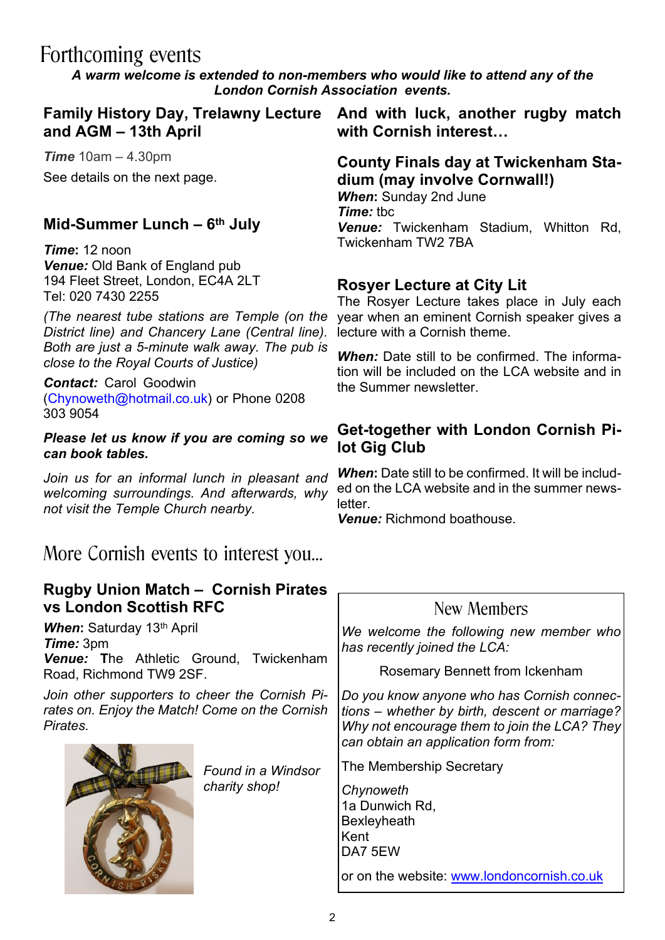# Forthcoming events

*A warm welcome is extended to non-members who would like to attend any of the London Cornish Association events.*

**and AGM – 13th April**

*Time* 10am – 4.30pm See details on the next page.

### **Mid-Summer Lunch – 6th July**

*Time***:** 12 noon *Venue:* Old Bank of England pub 194 Fleet Street, London, EC4A 2LT Tel: 020 7430 2255

*(The nearest tube stations are Temple (on the District line) and Chancery Lane (Central line). Both are just a 5-minute walk away. The pub is close to the Royal Courts of Justice)*

*Contact:* Carol Goodwin (Chynoweth@hotmail.co.uk) or Phone 0208 303 9054

#### *Please let us know if you are coming so we can book tables.*

*Join us for an informal lunch in pleasant and welcoming surroundings. And afterwards, why not visit the Temple Church nearby.*

# More Cornish events to interest you…

#### **Rugby Union Match – Cornish Pirates vs London Scottish RFC**

**When: Saturday 13<sup>th</sup> April** *Time:* 3pm *Venue:* **T**he Athletic Ground, Twickenham Road, Richmond TW9 2SF.

*Join other supporters to cheer the Cornish Pirates on. Enjoy the Match! Come on the Cornish Pirates.*

*Found in a Windsor*

*charity shop!*



**Family History Day, Trelawny Lecture And with luck, another rugby match with Cornish interest…**

> **County Finals day at Twickenham Stadium (may involve Cornwall!)** *When***:** Sunday 2nd June *Time:* tbc

> *Venue:* Twickenham Stadium, Whitton Rd, Twickenham TW2 7BA

#### **Rosyer Lecture at City Lit**

The Rosyer Lecture takes place in July each year when an eminent Cornish speaker gives a lecture with a Cornish theme.

*When:* Date still to be confirmed. The information will be included on the LCA website and in the Summer newsletter.

#### **Get-together with London Cornish Pilot Gig Club**

*When***:** Date still to be confirmed. It will be included on the LCA website and in the summer newsletter.

*Venue:* Richmond boathouse.

### New Members

*We welcome the following new member who has recently joined the LCA:*

Rosemary Bennett from Ickenham

*Do you know anyone who has Cornish connections – whether by birth, descent or marriage? Why not encourage them to join the LCA? They can obtain an application form from:*

The Membership Secretary

*Chynoweth* 1a Dunwich Rd, **Bexleyheath** Kent DA7 5EW

or on the website: www.londoncornish.co.uk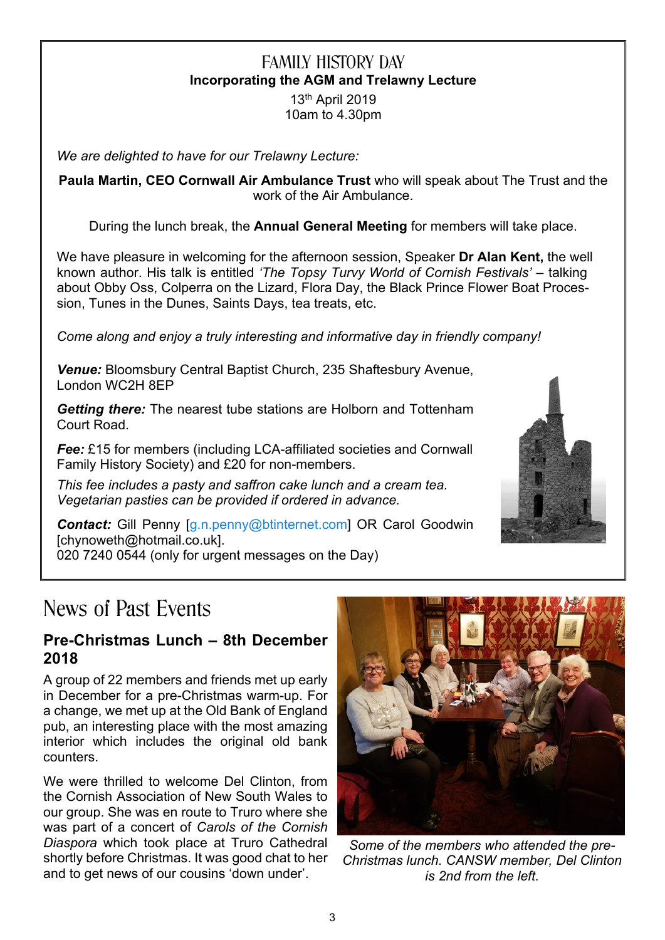### FAMILY HISTORY DAY **Incorporating the AGM and Trelawny Lecture**

13th April 2019 10am to 4.30pm

*We are delighted to have for our Trelawny Lecture:*

**Paula Martin, CEO Cornwall Air Ambulance Trust** who will speak about The Trust and the work of the Air Ambulance.

During the lunch break, the **Annual General Meeting** for members will take place.

We have pleasure in welcoming for the afternoon session, Speaker **Dr Alan Kent,** the well known author. His talk is entitled *'The Topsy Turvy World of Cornish Festivals'* – talking about Obby Oss, Colperra on the Lizard, Flora Day, the Black Prince Flower Boat Procession, Tunes in the Dunes, Saints Days, tea treats, etc.

*Come along and enjoy a truly interesting and informative day in friendly company!*

*Venue:* Bloomsbury Central Baptist Church, 235 Shaftesbury Avenue, London WC2H 8EP

*Getting there:* The nearest tube stations are Holborn and Tottenham Court Road.

**Fee:** £15 for members (including LCA-affiliated societies and Cornwall Family History Society) and £20 for non-members.

*This fee includes a pasty and saffron cake lunch and a cream tea. Vegetarian pasties can be provided if ordered in advance.*

*Contact:* Gill Penny [g.n.penny@btinternet.com] OR Carol Goodwin [chynoweth@hotmail.co.uk]. 020 7240 0544 (only for urgent messages on the Day)

# News of Past Events

#### **Pre-Christmas Lunch – 8th December 2018**

A group of 22 members and friends met up early in December for a pre-Christmas warm-up. For a change, we met up at the Old Bank of England pub, an interesting place with the most amazing interior which includes the original old bank counters.

We were thrilled to welcome Del Clinton, from the Cornish Association of New South Wales to our group. She was en route to Truro where she was part of a concert of *Carols of the Cornish Diaspora* which took place at Truro Cathedral shortly before Christmas. It was good chat to her and to get news of our cousins 'down under'.



*Some of the members who attended the pre-Christmas lunch. CANSW member, Del Clinton is 2nd from the left.*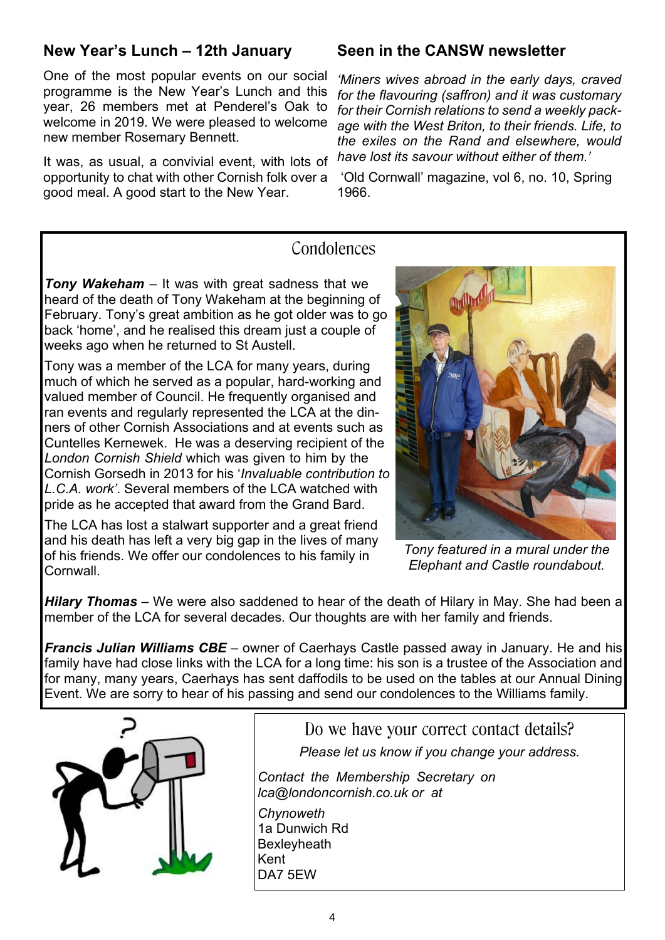### **New Year's Lunch – 12th January**

One of the most popular events on our social programme is the New Year's Lunch and this year, 26 members met at Penderel's Oak to welcome in 2019. We were pleased to welcome new member Rosemary Bennett.

It was, as usual, a convivial event, with lots of opportunity to chat with other Cornish folk over a good meal. A good start to the New Year.

#### **Seen in the CANSW newsletter**

*'Miners wives abroad in the early days, craved for the flavouring (saffron) and it was customary for their Cornish relations to send a weekly package with the West Briton, to their friends. Life, to the exiles on the Rand and elsewhere, would have lost its savour without either of them.'*

'Old Cornwall' magazine, vol 6, no. 10, Spring 1966.

#### Condolences

*Tony Wakeham –* It was with great sadness that we heard of the death of Tony Wakeham at the beginning of February. Tony's great ambition as he got older was to go back 'home', and he realised this dream just a couple of weeks ago when he returned to St Austell.

Tony was a member of the LCA for many years, during much of which he served as a popular, hard-working and valued member of Council. He frequently organised and ran events and regularly represented the LCA at the dinners of other Cornish Associations and at events such as Cuntelles Kernewek. He was a deserving recipient of the *London Cornish Shield* which was given to him by the Cornish Gorsedh in 2013 for his '*Invaluable contribution to L.C.A. work'*. Several members of the LCA watched with pride as he accepted that award from the Grand Bard.

The LCA has lost a stalwart supporter and a great friend and his death has left a very big gap in the lives of many of his friends. We offer our condolences to his family in **Cornwall** 

*Tony featured in a mural under the Elephant and Castle roundabout.*

*Hilary Thomas* – We were also saddened to hear of the death of Hilary in May. She had been a member of the LCA for several decades. Our thoughts are with her family and friends.

*Francis Julian Williams CBE* – owner of Caerhays Castle passed away in January. He and his family have had close links with the LCA for a long time: his son is a trustee of the Association and for many, many years, Caerhays has sent daffodils to be used on the tables at our Annual Dining Event. We are sorry to hear of his passing and send our condolences to the Williams family.



Do we have your correct contact details? *Please let us know if you change your address.*

*Contact the Membership Secretary on lca@londoncornish.co.uk or at Chynoweth*

1a Dunwich Rd **Bexleyheath** Kent DA7 5EW

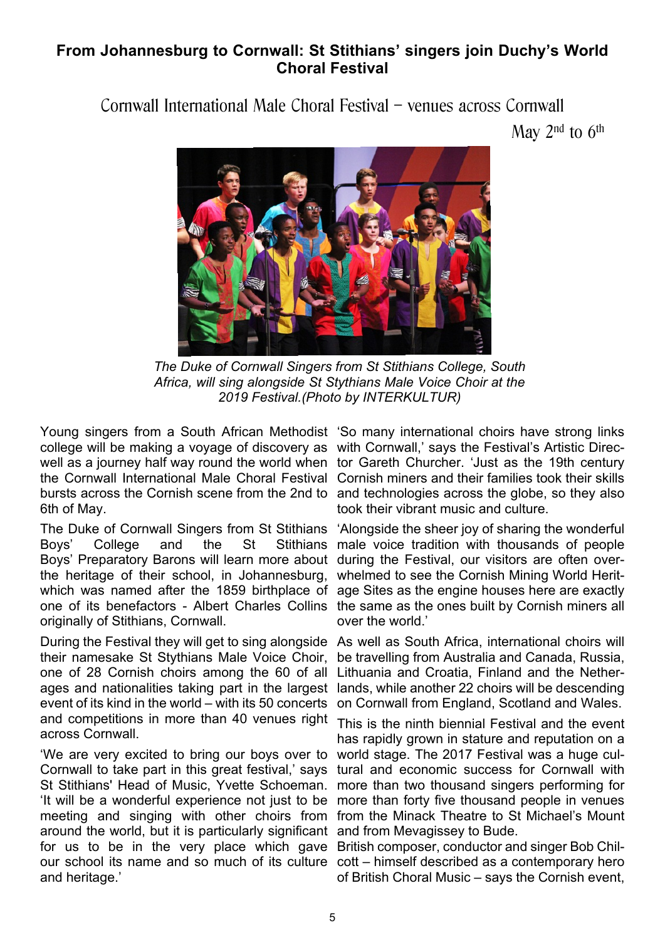#### **From Johannesburg to Cornwall: St Stithians' singers join Duchy's World Choral Festival**

Cornwall International Male Choral Festival – venues across Cornwall

May  $2<sup>nd</sup>$  to  $6<sup>th</sup>$ 



*The Duke of Cornwall Singers from St Stithians College, South Africa, will sing alongside St Stythians Male Voice Choir at the 2019 Festival.(Photo by INTERKULTUR)*

Young singers from a South African Methodist 'So many international choirs have strong links college will be making a voyage of discovery as with Cornwall,' says the Festival's Artistic Direcwell as a journey half way round the world when tor Gareth Churcher. 'Just as the 19th century the Cornwall International Male Choral Festival Cornish miners and their families took their skills bursts across the Cornish scene from the 2nd to and technologies across the globe, so they also 6th of May.

The Duke of Cornwall Singers from St Stithians Boys' College and the St Stithians male voice tradition with thousands of people Boys' Preparatory Barons will learn more about during the Festival, our visitors are often overthe heritage of their school, in Johannesburg, which was named after the 1859 birthplace of age Sites as the engine houses here are exactly one of its benefactors - Albert Charles Collins the same as the ones built by Cornish miners all originally of Stithians, Cornwall.

During the Festival they will get to sing alongside As well as South Africa, international choirs will their namesake St Stythians Male Voice Choir, one of 28 Cornish choirs among the 60 of all ages and nationalities taking part in the largest lands, while another 22 choirs will be descending event of its kind in the world – with its 50 concerts and competitions in more than 40 venues right across Cornwall.

'We are very excited to bring our boys over to world stage. The 2017 Festival was a huge cul-Cornwall to take part in this great festival,' says tural and economic success for Cornwall with St Stithians' Head of Music, Yvette Schoeman. more than two thousand singers performing for 'It will be a wonderful experience not just to be more than forty five thousand people in venues meeting and singing with other choirs from from the Minack Theatre to St Michael's Mount around the world, but it is particularly significant and from Mevagissey to Bude. for us to be in the very place which gave British composer, conductor and singer Bob Chilour school its name and so much of its culture cott – himself described as a contemporary hero and heritage.'

took their vibrant music and culture.

'Alongside the sheer joy of sharing the wonderful whelmed to see the Cornish Mining World Heritover the world.'

be travelling from Australia and Canada, Russia, Lithuania and Croatia, Finland and the Netheron Cornwall from England, Scotland and Wales.

This is the ninth biennial Festival and the event has rapidly grown in stature and reputation on a

of British Choral Music – says the Cornish event,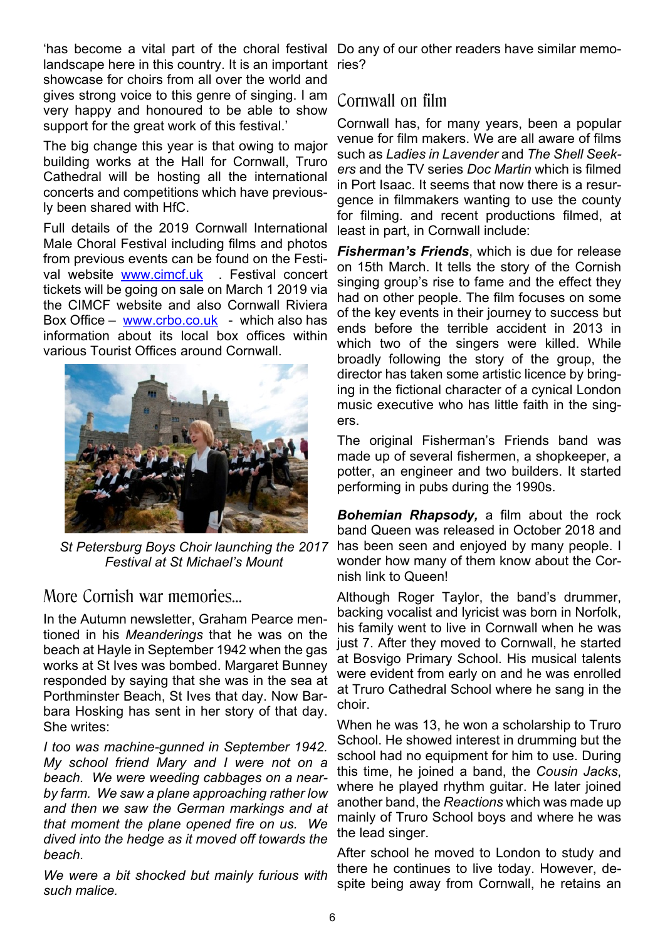'has become a vital part of the choral festival Do any of our other readers have similar memolandscape here in this country. It is an important showcase for choirs from all over the world and gives strong voice to this genre of singing. I am very happy and honoured to be able to show support for the great work of this festival.'

The big change this year is that owing to major building works at the Hall for Cornwall, Truro Cathedral will be hosting all the international concerts and competitions which have previously been shared with HfC.

Full details of the 2019 Cornwall International Male Choral Festival including films and photos from previous events can be found on the Festival website www.cimcf.uk . Festival concert tickets will be going on sale on March 1 2019 via the CIMCF website and also Cornwall Riviera Box Office – www.crbo.co.uk - which also has information about its local box offices within various Tourist Offices around Cornwall.



*St Petersburg Boys Choir launching the 2017 Festival at St Michael's Mount*

More Cornish war memories…

In the Autumn newsletter, Graham Pearce mentioned in his *Meanderings* that he was on the beach at Hayle in September 1942 when the gas works at St Ives was bombed. Margaret Bunney responded by saying that she was in the sea at Porthminster Beach, St Ives that day. Now Barbara Hosking has sent in her story of that day. She writes:

*I too was machine-gunned in September 1942. My school friend Mary and I were not on a beach. We were weeding cabbages on a nearby farm. We saw a plane approaching rather low and then we saw the German markings and at that moment the plane opened fire on us. We dived into the hedge as it moved off towards the beach.*

*We were a bit shocked but mainly furious with such malice.*

ries?

### Cornwall on film

Cornwall has, for many years, been a popular venue for film makers. We are all aware of films such as *Ladies in Lavender* and *The Shell Seekers* and the TV series *Doc Martin* which is filmed in Port Isaac. It seems that now there is a resurgence in filmmakers wanting to use the county for filming. and recent productions filmed, at least in part, in Cornwall include:

*Fisherman's Friends*, which is due for release on 15th March. It tells the story of the Cornish singing group's rise to fame and the effect they had on other people. The film focuses on some of the key events in their journey to success but ends before the terrible accident in 2013 in which two of the singers were killed. While broadly following the story of the group, the director has taken some artistic licence by bringing in the fictional character of a cynical London music executive who has little faith in the singers.

The original Fisherman's Friends band was made up of several fishermen, a shopkeeper, a potter, an engineer and two builders. It started performing in pubs during the 1990s.

*Bohemian Rhapsody,* a film about the rock band Queen was released in October 2018 and has been seen and enjoyed by many people. I wonder how many of them know about the Cornish link to Queen!

Although Roger Taylor, the band's drummer, backing vocalist and lyricist was born in Norfolk, his family went to live in Cornwall when he was just 7. After they moved to Cornwall, he started at Bosvigo Primary School. His musical talents were evident from early on and he was enrolled at Truro Cathedral School where he sang in the choir.

When he was 13, he won a scholarship to Truro School. He showed interest in drumming but the school had no equipment for him to use. During this time, he joined a band, the *Cousin Jacks*, where he played rhythm guitar. He later joined another band, the *Reactions* which was made up mainly of Truro School boys and where he was the lead singer.

After school he moved to London to study and there he continues to live today. However, despite being away from Cornwall, he retains an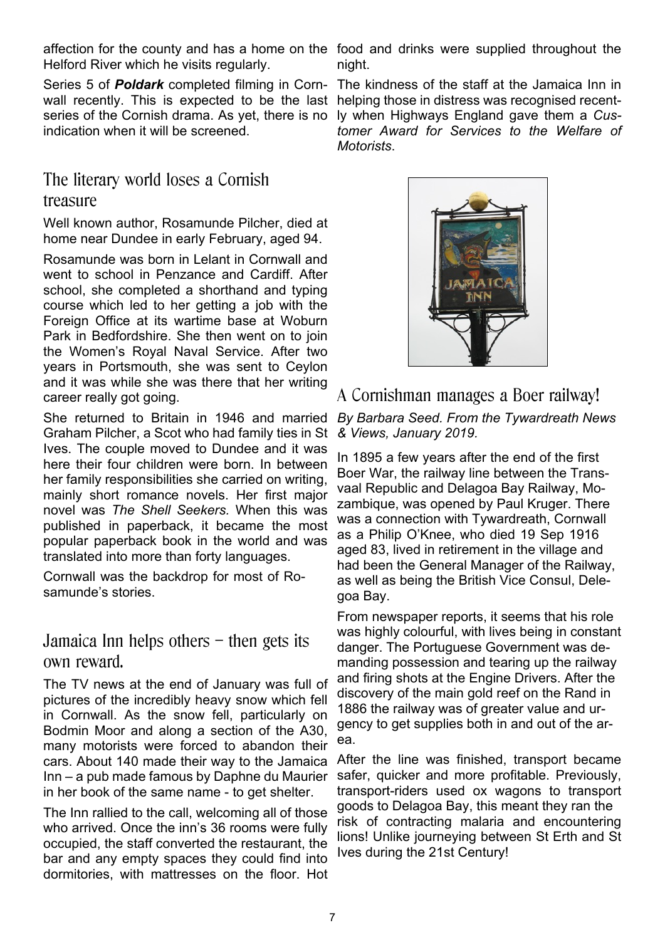affection for the county and has a home on the food and drinks were supplied throughout the Helford River which he visits regularly.

Series 5 of *Poldark* completed filming in Cornwall recently. This is expected to be the last series of the Cornish drama. As yet, there is no indication when it will be screened.

### The literary world loses a Cornish treasure

Well known author, Rosamunde Pilcher, died at home near Dundee in early February, aged 94.

Rosamunde was born in Lelant in Cornwall and went to school in Penzance and Cardiff. After school, she completed a shorthand and typing course which led to her getting a job with the Foreign Office at its wartime base at Woburn Park in Bedfordshire. She then went on to join the Women's Royal Naval Service. After two years in Portsmouth, she was sent to Ceylon and it was while she was there that her writing career really got going.

She returned to Britain in 1946 and married *By Barbara Seed. From the Tywardreath News* Graham Pilcher, a Scot who had family ties in St Ives. The couple moved to Dundee and it was here their four children were born. In between her family responsibilities she carried on writing, mainly short romance novels. Her first major novel was *The Shell Seekers.* When this was published in paperback, it became the most popular paperback book in the world and was translated into more than forty languages.

Cornwall was the backdrop for most of Rosamunde's stories.

### Jamaica Inn helps others – then gets its own reward.

The TV news at the end of January was full of pictures of the incredibly heavy snow which fell in Cornwall. As the snow fell, particularly on Bodmin Moor and along a section of the A30, many motorists were forced to abandon their cars. About 140 made their way to the Jamaica Inn – a pub made famous by Daphne du Maurier in her book of the same name - to get shelter.

The Inn rallied to the call, welcoming all of those who arrived. Once the inn's 36 rooms were fully occupied, the staff converted the restaurant, the bar and any empty spaces they could find into dormitories, with mattresses on the floor. Hot

night.

The kindness of the staff at the Jamaica Inn in helping those in distress was recognised recently when Highways England gave them a *Customer Award for Services to the Welfare of Motorists*.



### A Cornishman manages a Boer railway!

*& Views, January 2019.*

In 1895 a few years after the end of the first Boer War, the railway line between the Transvaal Republic and Delagoa Bay Railway, Mozambique, was opened by Paul Kruger. There was a connection with Tywardreath, Cornwall as a Philip O'Knee, who died 19 Sep 1916 aged 83, lived in retirement in the village and had been the General Manager of the Railway, as well as being the British Vice Consul, Delegoa Bay.

From newspaper reports, it seems that his role was highly colourful, with lives being in constant danger. The Portuguese Government was demanding possession and tearing up the railway and firing shots at the Engine Drivers. After the discovery of the main gold reef on the Rand in 1886 the railway was of greater value and urgency to get supplies both in and out of the area.

After the line was finished, transport became safer, quicker and more profitable. Previously, transport-riders used ox wagons to transport goods to Delagoa Bay, this meant they ran the risk of contracting malaria and encountering lions! Unlike journeying between St Erth and St Ives during the 21st Century!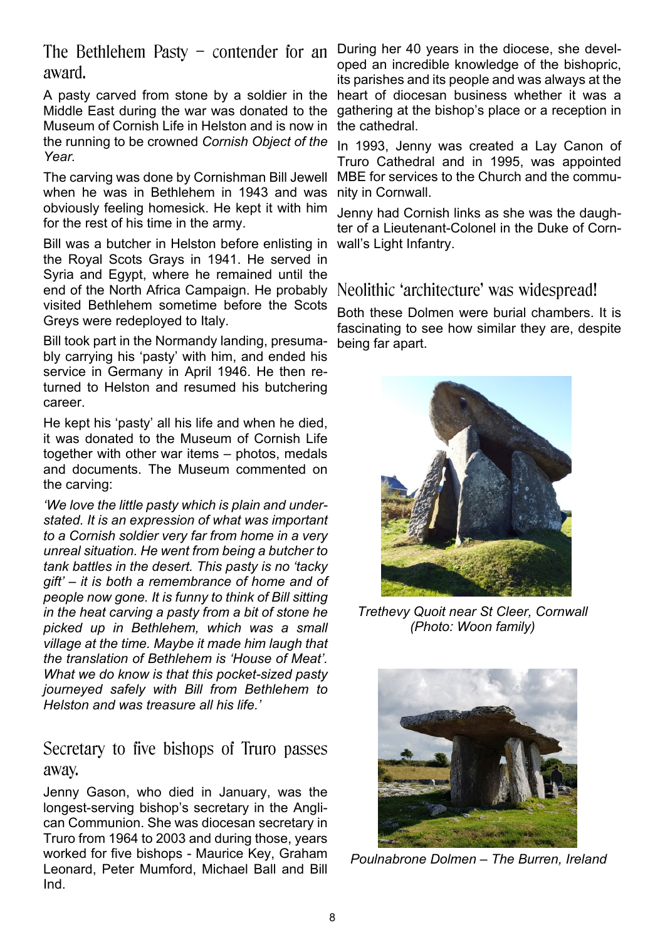The Bethlehem Pasty – contender for an award.

A pasty carved from stone by a soldier in the Middle East during the war was donated to the Museum of Cornish Life in Helston and is now in the running to be crowned *Cornish Object of the Year.*

The carving was done by Cornishman Bill Jewell when he was in Bethlehem in 1943 and was obviously feeling homesick. He kept it with him for the rest of his time in the army.

Bill was a butcher in Helston before enlisting in the Royal Scots Grays in 1941. He served in Syria and Egypt, where he remained until the end of the North Africa Campaign. He probably visited Bethlehem sometime before the Scots Greys were redeployed to Italy.

Bill took part in the Normandy landing, presumably carrying his 'pasty' with him, and ended his service in Germany in April 1946. He then returned to Helston and resumed his butchering career.

He kept his 'pasty' all his life and when he died, it was donated to the Museum of Cornish Life together with other war items – photos, medals and documents. The Museum commented on the carving:

*'We love the little pasty which is plain and understated. It is an expression of what was important to a Cornish soldier very far from home in a very unreal situation. He went from being a butcher to tank battles in the desert. This pasty is no 'tacky gift' – it is both a remembrance of home and of people now gone. It is funny to think of Bill sitting in the heat carving a pasty from a bit of stone he picked up in Bethlehem, which was a small village at the time. Maybe it made him laugh that the translation of Bethlehem is 'House of Meat'. What we do know is that this pocket-sized pasty journeyed safely with Bill from Bethlehem to Helston and was treasure all his life.'*

### Secretary to five bishops of Truro passes away.

Jenny Gason, who died in January, was the longest-serving bishop's secretary in the Anglican Communion. She was diocesan secretary in Truro from 1964 to 2003 and during those, years worked for five bishops - Maurice Key, Graham Leonard, Peter Mumford, Michael Ball and Bill Ind.

During her 40 years in the diocese, she developed an incredible knowledge of the bishopric, its parishes and its people and was always at the heart of diocesan business whether it was a gathering at the bishop's place or a reception in the cathedral.

In 1993, Jenny was created a Lay Canon of Truro Cathedral and in 1995, was appointed MBE for services to the Church and the community in Cornwall.

Jenny had Cornish links as she was the daughter of a Lieutenant-Colonel in the Duke of Cornwall's Light Infantry.

### Neolithic 'architecture' was widespread!

Both these Dolmen were burial chambers. It is fascinating to see how similar they are, despite being far apart.



*Trethevy Quoit near St Cleer, Cornwall (Photo: Woon family)*



*Poulnabrone Dolmen – The Burren, Ireland*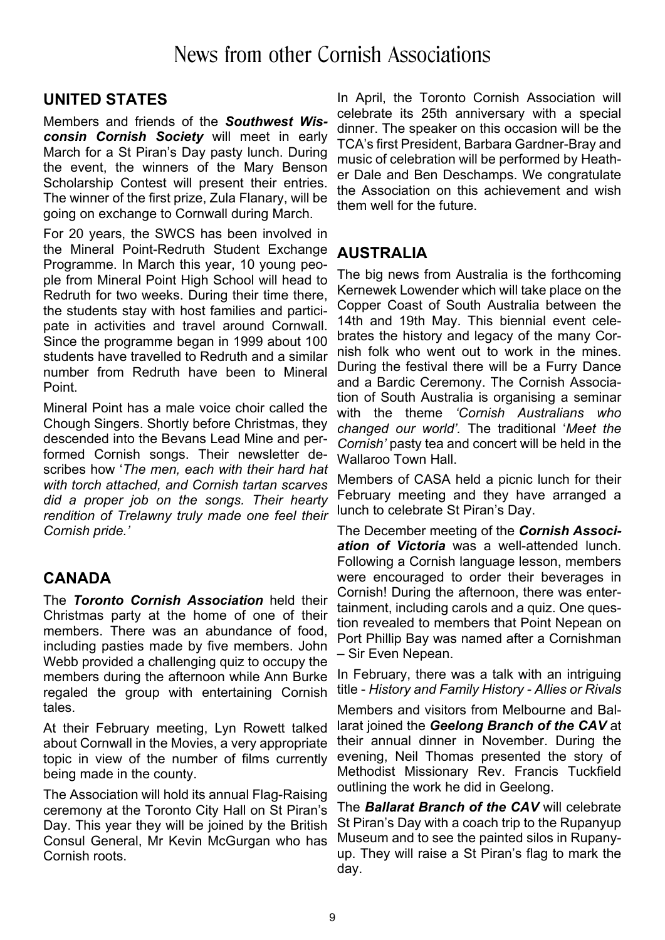### **UNITED STATES**

Members and friends of the *Southwest Wisconsin Cornish Society* will meet in early March for a St Piran's Day pasty lunch. During the event, the winners of the Mary Benson Scholarship Contest will present their entries. The winner of the first prize, Zula Flanary, will be going on exchange to Cornwall during March.

For 20 years, the SWCS has been involved in the Mineral Point-Redruth Student Exchange Programme. In March this year, 10 young people from Mineral Point High School will head to Redruth for two weeks. During their time there, the students stay with host families and participate in activities and travel around Cornwall. Since the programme began in 1999 about 100 students have travelled to Redruth and a similar number from Redruth have been to Mineral Point.

Mineral Point has a male voice choir called the Chough Singers. Shortly before Christmas, they descended into the Bevans Lead Mine and performed Cornish songs. Their newsletter describes how '*The men, each with their hard hat with torch attached, and Cornish tartan scarves did a proper job on the songs. Their hearty rendition of Trelawny truly made one feel their Cornish pride.'*

### **CANADA**

The *Toronto Cornish Association* held their Christmas party at the home of one of their members. There was an abundance of food, including pasties made by five members. John Webb provided a challenging quiz to occupy the members during the afternoon while Ann Burke regaled the group with entertaining Cornish tales.

At their February meeting, Lyn Rowett talked about Cornwall in the Movies, a very appropriate topic in view of the number of films currently being made in the county.

The Association will hold its annual Flag-Raising ceremony at the Toronto City Hall on St Piran's Day. This year they will be joined by the British Consul General, Mr Kevin McGurgan who has Cornish roots.

In April, the Toronto Cornish Association will celebrate its 25th anniversary with a special dinner. The speaker on this occasion will be the TCA's first President, Barbara Gardner-Bray and music of celebration will be performed by Heather Dale and Ben Deschamps. We congratulate the Association on this achievement and wish them well for the future.

### **AUSTRALIA**

The big news from Australia is the forthcoming Kernewek Lowender which will take place on the Copper Coast of South Australia between the 14th and 19th May. This biennial event celebrates the history and legacy of the many Cornish folk who went out to work in the mines. During the festival there will be a Furry Dance and a Bardic Ceremony. The Cornish Association of South Australia is organising a seminar with the theme *'Cornish Australians who changed our world'.* The traditional '*Meet the Cornish'* pasty tea and concert will be held in the Wallaroo Town Hall.

Members of CASA held a picnic lunch for their February meeting and they have arranged a lunch to celebrate St Piran's Day.

The December meeting of the *Cornish Association of Victoria* was a well-attended lunch. Following a Cornish language lesson, members were encouraged to order their beverages in Cornish! During the afternoon, there was entertainment, including carols and a quiz. One question revealed to members that Point Nepean on Port Phillip Bay was named after a Cornishman – Sir Even Nepean.

In February, there was a talk with an intriguing title - *History and Family History - Allies or Rivals*

Members and visitors from Melbourne and Ballarat joined the *Geelong Branch of the CAV* at their annual dinner in November. During the evening, Neil Thomas presented the story of Methodist Missionary Rev. Francis Tuckfield outlining the work he did in Geelong.

The *Ballarat Branch of the CAV* will celebrate St Piran's Day with a coach trip to the Rupanyup Museum and to see the painted silos in Rupanyup. They will raise a St Piran's flag to mark the day.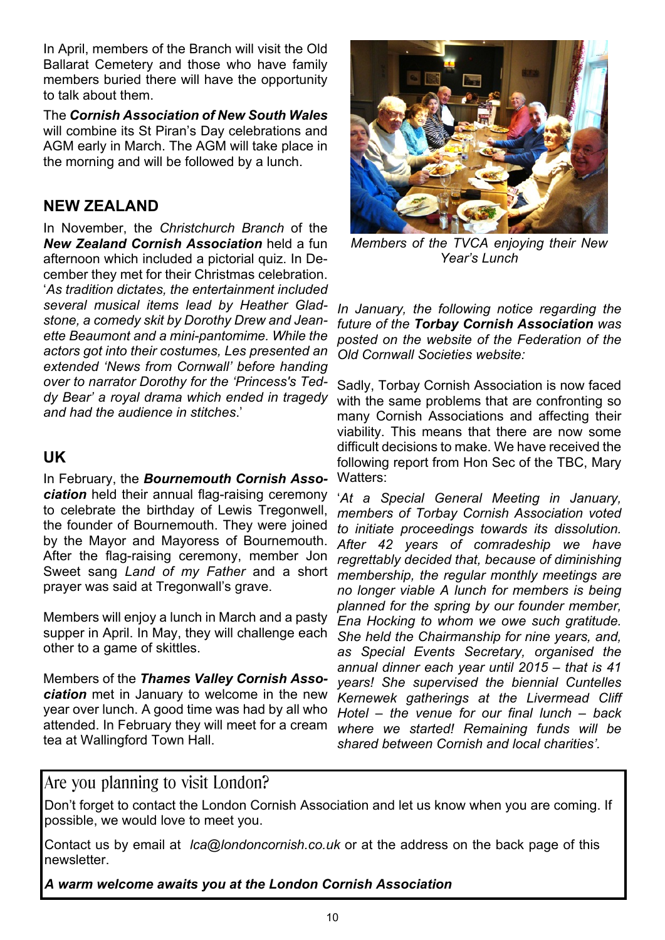In April, members of the Branch will visit the Old Ballarat Cemetery and those who have family members buried there will have the opportunity to talk about them.

The *Cornish Association of New South Wales* will combine its St Piran's Day celebrations and AGM early in March. The AGM will take place in the morning and will be followed by a lunch.

#### **NEW ZEALAND**

In November, the *Christchurch Branch* of the *New Zealand Cornish Association* held a fun afternoon which included a pictorial quiz. In December they met for their Christmas celebration. '*As tradition dictates, the entertainment included several musical items lead by Heather Gladstone, a comedy skit by Dorothy Drew and Jeanette Beaumont and a mini-pantomime. While the actors got into their costumes, Les presented an extended 'News from Cornwall' before handing over to narrator Dorothy for the 'Princess's Teddy Bear' a royal drama which ended in tragedy and had the audience in stitches*.'

#### **UK**

In February, the *Bournemouth Cornish Association* held their annual flag-raising ceremony to celebrate the birthday of Lewis Tregonwell, the founder of Bournemouth. They were joined by the Mayor and Mayoress of Bournemouth. After the flag-raising ceremony, member Jon Sweet sang *Land of my Father* and a short prayer was said at Tregonwall's grave.

Members will enjoy a lunch in March and a pasty supper in April. In May, they will challenge each other to a game of skittles.

Members of the *Thames Valley Cornish Association* met in January to welcome in the new year over lunch. A good time was had by all who attended. In February they will meet for a cream tea at Wallingford Town Hall.



*Members of the TVCA enjoying their New Year's Lunch*

*In January, the following notice regarding the future of the Torbay Cornish Association was posted on the website of the Federation of the Old Cornwall Societies website:*

Sadly, Torbay Cornish Association is now faced with the same problems that are confronting so many Cornish Associations and affecting their viability. This means that there are now some difficult decisions to make. We have received the following report from Hon Sec of the TBC, Mary Watters:

'*At a Special General Meeting in January, members of Torbay Cornish Association voted to initiate proceedings towards its dissolution. After 42 years of comradeship we have regrettably decided that, because of diminishing membership, the regular monthly meetings are no longer viable A lunch for members is being planned for the spring by our founder member, Ena Hocking to whom we owe such gratitude. She held the Chairmanship for nine years, and, as Special Events Secretary, organised the annual dinner each year until 2015 – that is 41 years! She supervised the biennial Cuntelles Kernewek gatherings at the Livermead Cliff Hotel – the venue for our final lunch – back where we started! Remaining funds will be shared between Cornish and local charities'.*

### Are you planning to visit London?

Don't forget to contact the London Cornish Association and let us know when you are coming. If possible, we would love to meet you.

Contact us by email at *lca@londoncornish.co.uk* or at the address on the back page of this newsletter.

*A warm welcome awaits you at the London Cornish Association*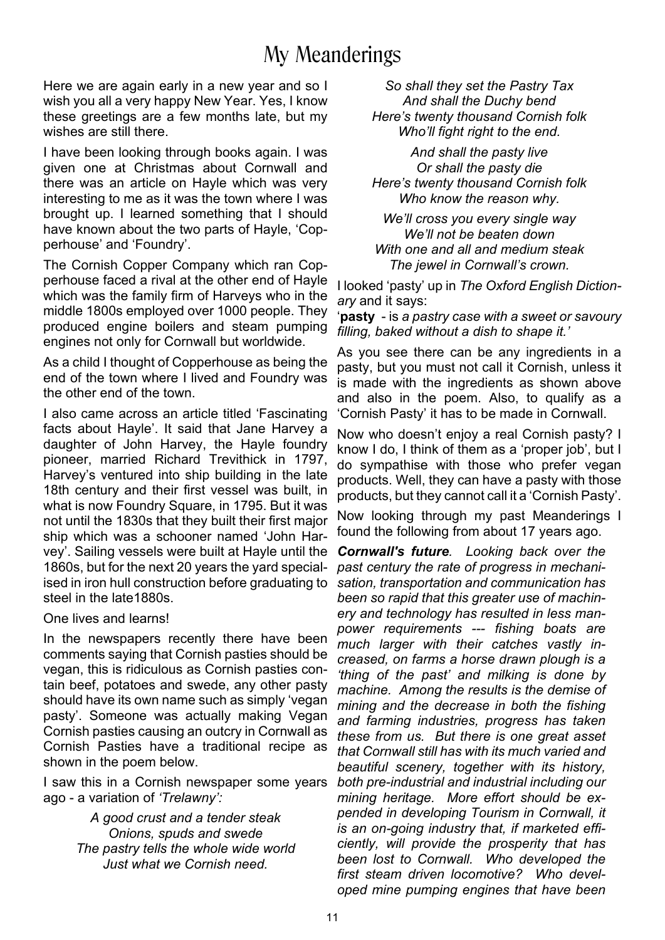# My Meanderings

Here we are again early in a new year and so I wish you all a very happy New Year. Yes, I know these greetings are a few months late, but my wishes are still there.

I have been looking through books again. I was given one at Christmas about Cornwall and there was an article on Hayle which was very interesting to me as it was the town where I was brought up. I learned something that I should have known about the two parts of Hayle, 'Copperhouse' and 'Foundry'.

The Cornish Copper Company which ran Copperhouse faced a rival at the other end of Hayle which was the family firm of Harveys who in the middle 1800s employed over 1000 people. They produced engine boilers and steam pumping engines not only for Cornwall but worldwide.

As a child I thought of Copperhouse as being the end of the town where I lived and Foundry was the other end of the town.

I also came across an article titled 'Fascinating facts about Hayle'. It said that Jane Harvey a daughter of John Harvey, the Hayle foundry pioneer, married Richard Trevithick in 1797, Harvey's ventured into ship building in the late 18th century and their first vessel was built, in what is now Foundry Square, in 1795. But it was not until the 1830s that they built their first major ship which was a schooner named 'John Harvey'. Sailing vessels were built at Hayle until the 1860s, but for the next 20 years the yard specialised in iron hull construction before graduating to sation, transportation and communication has steel in the late1880s.

One lives and learns!

In the newspapers recently there have been comments saying that Cornish pasties should be vegan, this is ridiculous as Cornish pasties contain beef, potatoes and swede, any other pasty should have its own name such as simply 'vegan pasty'. Someone was actually making Vegan Cornish pasties causing an outcry in Cornwall as Cornish Pasties have a traditional recipe as shown in the poem below.

I saw this in a Cornish newspaper some years ago - a variation of *'Trelawny':*

> *A good crust and a tender steak Onions, spuds and swede The pastry tells the whole wide world Just what we Cornish need.*

*So shall they set the Pastry Tax And shall the Duchy bend Here's twenty thousand Cornish folk Who'll fight right to the end.*

*And shall the pasty live Or shall the pasty die Here's twenty thousand Cornish folk Who know the reason why.*

*We'll cross you every single way We'll not be beaten down With one and all and medium steak The jewel in Cornwall's crown.*

I looked 'pasty' up in *The Oxford English Dictionary* and it says:

'**pasty** - is *a pastry case with a sweet or savoury filling, baked without a dish to shape it.'*

As you see there can be any ingredients in a pasty, but you must not call it Cornish, unless it is made with the ingredients as shown above and also in the poem. Also, to qualify as a 'Cornish Pasty' it has to be made in Cornwall.

Now who doesn't enjoy a real Cornish pasty? I know I do, I think of them as a 'proper job', but I do sympathise with those who prefer vegan products. Well, they can have a pasty with those products, but they cannot call it a 'Cornish Pasty'.

Now looking through my past Meanderings I found the following from about 17 years ago.

*Cornwall's future. Looking back over the past century the rate of progress in mechanibeen so rapid that this greater use of machinery and technology has resulted in less manpower requirements --- fishing boats are much larger with their catches vastly increased, on farms a horse drawn plough is a 'thing of the past' and milking is done by machine. Among the results is the demise of mining and the decrease in both the fishing and farming industries, progress has taken these from us. But there is one great asset that Cornwall still has with its much varied and beautiful scenery, together with its history, both pre-industrial and industrial including our mining heritage. More effort should be expended in developing Tourism in Cornwall, it is an on-going industry that, if marketed efficiently, will provide the prosperity that has been lost to Cornwall. Who developed the first steam driven locomotive? Who developed mine pumping engines that have been*